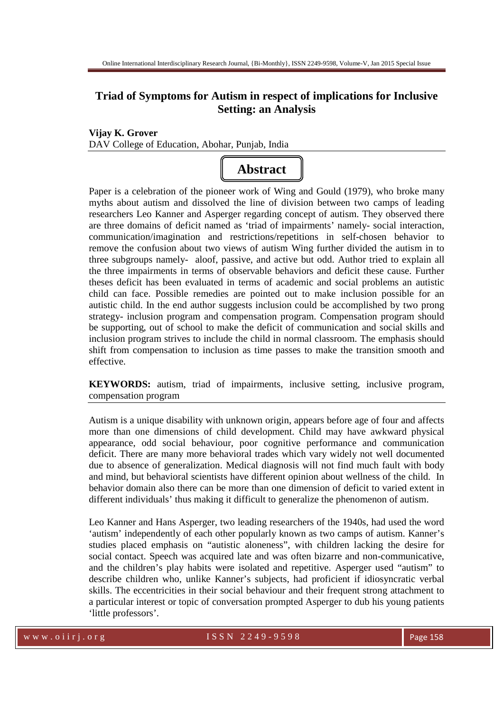# **Triad of Symptoms for Autism in respect of implications for Inclusive Setting: an Analysis**

# **Vijay K. Grover**  DAV College of Education, Abohar, Punjab, India



Paper is a celebration of the pioneer work of Wing and Gould (1979), who broke many myths about autism and dissolved the line of division between two camps of leading researchers Leo Kanner and Asperger regarding concept of autism. They observed there are three domains of deficit named as 'triad of impairments' namely- social interaction, communication/imagination and restrictions/repetitions in self-chosen behavior to remove the confusion about two views of autism Wing further divided the autism in to three subgroups namely- aloof, passive, and active but odd. Author tried to explain all the three impairments in terms of observable behaviors and deficit these cause. Further theses deficit has been evaluated in terms of academic and social problems an autistic child can face. Possible remedies are pointed out to make inclusion possible for an autistic child. In the end author suggests inclusion could be accomplished by two prong strategy- inclusion program and compensation program. Compensation program should be supporting, out of school to make the deficit of communication and social skills and inclusion program strives to include the child in normal classroom. The emphasis should shift from compensation to inclusion as time passes to make the transition smooth and effective.

**KEYWORDS:** autism, triad of impairments, inclusive setting, inclusive program, compensation program

Autism is a unique disability with unknown origin, appears before age of four and affects more than one dimensions of child development. Child may have awkward physical appearance, odd social behaviour, poor cognitive performance and communication deficit. There are many more behavioral trades which vary widely not well documented due to absence of generalization. Medical diagnosis will not find much fault with body and mind, but behavioral scientists have different opinion about wellness of the child. In behavior domain also there can be more than one dimension of deficit to varied extent in different individuals' thus making it difficult to generalize the phenomenon of autism.

Leo Kanner and Hans Asperger, two leading researchers of the 1940s, had used the word 'autism' independently of each other popularly known as two camps of autism. Kanner's studies placed emphasis on "autistic aloneness", with children lacking the desire for social contact. Speech was acquired late and was often bizarre and non-communicative, and the children's play habits were isolated and repetitive. Asperger used "autism" to describe children who, unlike Kanner's subjects, had proficient if idiosyncratic verbal skills. The eccentricities in their social behaviour and their frequent strong attachment to a particular interest or topic of conversation prompted Asperger to dub his young patients 'little professors'.

www.oiirj.org  $ISSN$   $2249-9598$  Page 158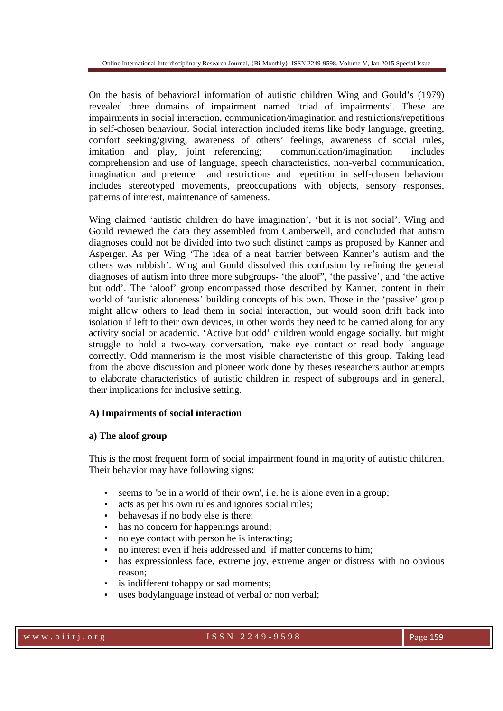On the basis of behavioral information of autistic children Wing and Gould's (1979) revealed three domains of impairment named 'triad of impairments'. These are impairments in social interaction, communication/imagination and restrictions/repetitions in self-chosen behaviour. Social interaction included items like body language, greeting, comfort seeking/giving, awareness of others' feelings, awareness of social rules, imitation and play, joint referencing; communication/imagination includes comprehension and use of language, speech characteristics, non-verbal communication, imagination and pretence and restrictions and repetition in self-chosen behaviour includes stereotyped movements, preoccupations with objects, sensory responses, patterns of interest, maintenance of sameness.

Wing claimed 'autistic children do have imagination', 'but it is not social'. Wing and Gould reviewed the data they assembled from Camberwell, and concluded that autism diagnoses could not be divided into two such distinct camps as proposed by Kanner and Asperger. As per Wing 'The idea of a neat barrier between Kanner's autism and the others was rubbish'. Wing and Gould dissolved this confusion by refining the general diagnoses of autism into three more subgroups- 'the aloof", 'the passive', and 'the active but odd'. The 'aloof' group encompassed those described by Kanner, content in their world of 'autistic aloneness' building concepts of his own. Those in the 'passive' group might allow others to lead them in social interaction, but would soon drift back into isolation if left to their own devices, in other words they need to be carried along for any activity social or academic. 'Active but odd' children would engage socially, but might struggle to hold a two-way conversation, make eye contact or read body language correctly. Odd mannerism is the most visible characteristic of this group. Taking lead from the above discussion and pioneer work done by theses researchers author attempts to elaborate characteristics of autistic children in respect of subgroups and in general, their implications for inclusive setting.

# **A) Impairments of social interaction**

# **a) The aloof group**

This is the most frequent form of social impairment found in majority of autistic children. Their behavior may have following signs:

- seems to 'be in a world of their own', i.e. he is alone even in a group;
- acts as per his own rules and ignores social rules;
- behaves as if no body else is there:
- has no concern for happenings around;
- no eye contact with person he is interacting;
- no interest even if heis addressed and if matter concerns to him;
- has expressionless face, extreme joy, extreme anger or distress with no obvious reason;
- is indifferent tohappy or sad moments;
- uses bodylanguage instead of verbal or non verbal;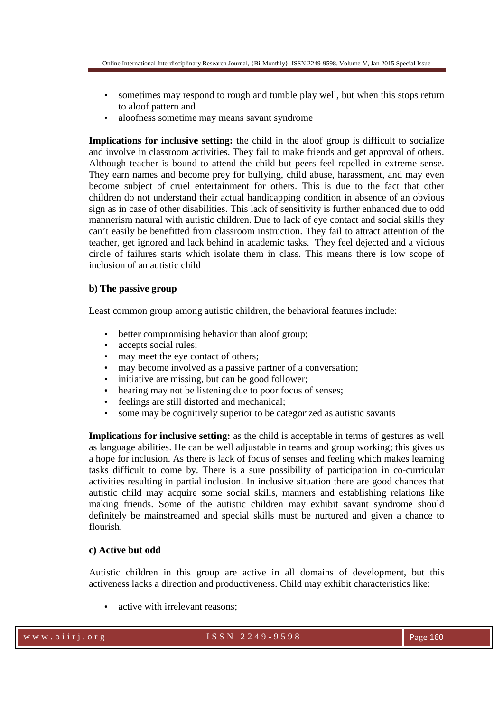- sometimes may respond to rough and tumble play well, but when this stops return to aloof pattern and
- aloofness sometime may means savant syndrome

**Implications for inclusive setting:** the child in the aloof group is difficult to socialize and involve in classroom activities. They fail to make friends and get approval of others. Although teacher is bound to attend the child but peers feel repelled in extreme sense. They earn names and become prey for bullying, child abuse, harassment, and may even become subject of cruel entertainment for others. This is due to the fact that other children do not understand their actual handicapping condition in absence of an obvious sign as in case of other disabilities. This lack of sensitivity is further enhanced due to odd mannerism natural with autistic children. Due to lack of eye contact and social skills they can't easily be benefitted from classroom instruction. They fail to attract attention of the teacher, get ignored and lack behind in academic tasks. They feel dejected and a vicious circle of failures starts which isolate them in class. This means there is low scope of inclusion of an autistic child

# **b) The passive group**

Least common group among autistic children, the behavioral features include:

- better compromising behavior than aloof group;
- accepts social rules;
- may meet the eye contact of others;
- may become involved as a passive partner of a conversation;
- initiative are missing, but can be good follower;
- hearing may not be listening due to poor focus of senses;
- feelings are still distorted and mechanical;
- some may be cognitively superior to be categorized as autistic savants

**Implications for inclusive setting:** as the child is acceptable in terms of gestures as well as language abilities. He can be well adjustable in teams and group working; this gives us a hope for inclusion. As there is lack of focus of senses and feeling which makes learning tasks difficult to come by. There is a sure possibility of participation in co-curricular activities resulting in partial inclusion. In inclusive situation there are good chances that autistic child may acquire some social skills, manners and establishing relations like making friends. Some of the autistic children may exhibit savant syndrome should definitely be mainstreamed and special skills must be nurtured and given a chance to flourish.

# **c) Active but odd**

Autistic children in this group are active in all domains of development, but this activeness lacks a direction and productiveness. Child may exhibit characteristics like:

active with irrelevant reasons:

# www.oiirj.org  $1 S SN 2249-9598$  Page 160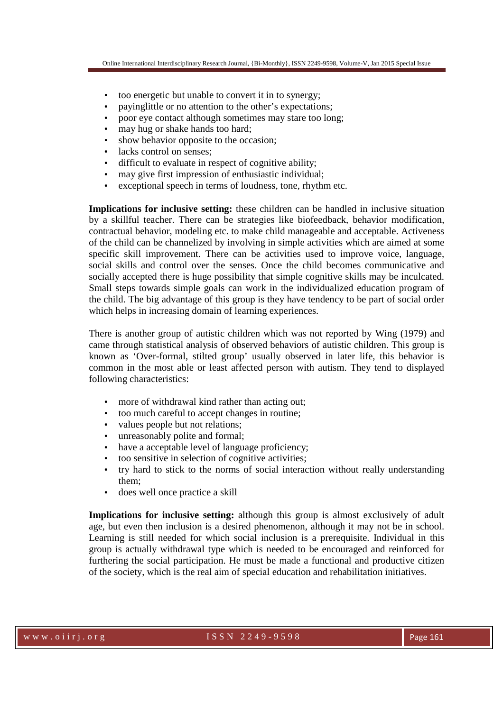- too energetic but unable to convert it in to synergy;
- payinglittle or no attention to the other's expectations;
- poor eye contact although sometimes may stare too long;
- may hug or shake hands too hard;
- show behavior opposite to the occasion;
- lacks control on senses:
- difficult to evaluate in respect of cognitive ability;
- may give first impression of enthusiastic individual;
- exceptional speech in terms of loudness, tone, rhythm etc.

**Implications for inclusive setting:** these children can be handled in inclusive situation by a skillful teacher. There can be strategies like biofeedback, behavior modification, contractual behavior, modeling etc. to make child manageable and acceptable. Activeness of the child can be channelized by involving in simple activities which are aimed at some specific skill improvement. There can be activities used to improve voice, language, social skills and control over the senses. Once the child becomes communicative and socially accepted there is huge possibility that simple cognitive skills may be inculcated. Small steps towards simple goals can work in the individualized education program of the child. The big advantage of this group is they have tendency to be part of social order which helps in increasing domain of learning experiences.

There is another group of autistic children which was not reported by Wing (1979) and came through statistical analysis of observed behaviors of autistic children. This group is known as 'Over-formal, stilted group' usually observed in later life, this behavior is common in the most able or least affected person with autism. They tend to displayed following characteristics:

- more of withdrawal kind rather than acting out;
- too much careful to accept changes in routine;
- values people but not relations;
- unreasonably polite and formal;
- have a acceptable level of language proficiency;
- too sensitive in selection of cognitive activities;
- try hard to stick to the norms of social interaction without really understanding them;
- does well once practice a skill

**Implications for inclusive setting:** although this group is almost exclusively of adult age, but even then inclusion is a desired phenomenon, although it may not be in school. Learning is still needed for which social inclusion is a prerequisite. Individual in this group is actually withdrawal type which is needed to be encouraged and reinforced for furthering the social participation. He must be made a functional and productive citizen of the society, which is the real aim of special education and rehabilitation initiatives.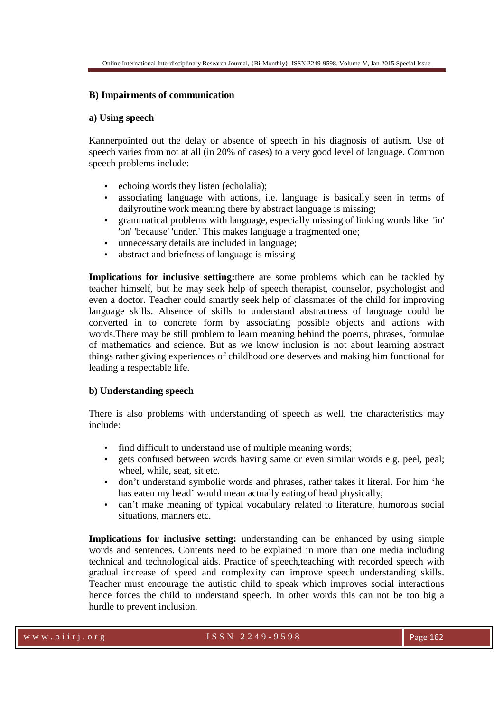### **B) Impairments of communication**

#### **a) Using speech**

Kannerpointed out the delay or absence of speech in his diagnosis of autism. Use of speech varies from not at all (in 20% of cases) to a very good level of language. Common speech problems include:

- echoing words they listen (echolalia);
- associating language with actions, i.e. language is basically seen in terms of dailyroutine work meaning there by abstract language is missing;
- grammatical problems with language, especially missing of linking words like 'in' 'on' 'because' 'under.' This makes language a fragmented one;
- unnecessary details are included in language;
- abstract and briefness of language is missing

**Implications for inclusive setting:**there are some problems which can be tackled by teacher himself, but he may seek help of speech therapist, counselor, psychologist and even a doctor. Teacher could smartly seek help of classmates of the child for improving language skills. Absence of skills to understand abstractness of language could be converted in to concrete form by associating possible objects and actions with words.There may be still problem to learn meaning behind the poems, phrases, formulae of mathematics and science. But as we know inclusion is not about learning abstract things rather giving experiences of childhood one deserves and making him functional for leading a respectable life.

#### **b) Understanding speech**

There is also problems with understanding of speech as well, the characteristics may include:

- find difficult to understand use of multiple meaning words;
- gets confused between words having same or even similar words e.g. peel, peal; wheel, while, seat, sit etc.
- don't understand symbolic words and phrases, rather takes it literal. For him 'he has eaten my head' would mean actually eating of head physically;
- can't make meaning of typical vocabulary related to literature, humorous social situations, manners etc.

**Implications for inclusive setting:** understanding can be enhanced by using simple words and sentences. Contents need to be explained in more than one media including technical and technological aids. Practice of speech,teaching with recorded speech with gradual increase of speed and complexity can improve speech understanding skills. Teacher must encourage the autistic child to speak which improves social interactions hence forces the child to understand speech. In other words this can not be too big a hurdle to prevent inclusion.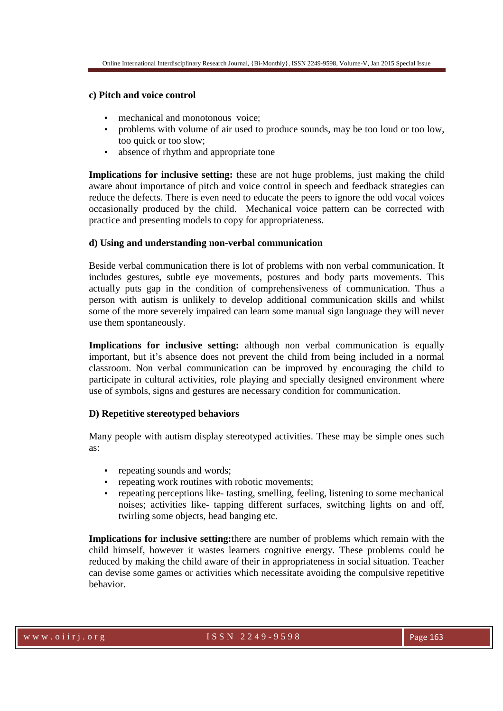# **c) Pitch and voice control**

- mechanical and monotonous voice:
- problems with volume of air used to produce sounds, may be too loud or too low, too quick or too slow;
- absence of rhythm and appropriate tone

**Implications for inclusive setting:** these are not huge problems, just making the child aware about importance of pitch and voice control in speech and feedback strategies can reduce the defects. There is even need to educate the peers to ignore the odd vocal voices occasionally produced by the child. Mechanical voice pattern can be corrected with practice and presenting models to copy for appropriateness.

# **d) Using and understanding non-verbal communication**

Beside verbal communication there is lot of problems with non verbal communication. It includes gestures, subtle eye movements, postures and body parts movements. This actually puts gap in the condition of comprehensiveness of communication. Thus a person with autism is unlikely to develop additional communication skills and whilst some of the more severely impaired can learn some manual sign language they will never use them spontaneously.

**Implications for inclusive setting:** although non verbal communication is equally important, but it's absence does not prevent the child from being included in a normal classroom. Non verbal communication can be improved by encouraging the child to participate in cultural activities, role playing and specially designed environment where use of symbols, signs and gestures are necessary condition for communication.

# **D) Repetitive stereotyped behaviors**

Many people with autism display stereotyped activities. These may be simple ones such as:

- repeating sounds and words:
- repeating work routines with robotic movements;
- repeating perceptions like- tasting, smelling, feeling, listening to some mechanical noises; activities like- tapping different surfaces, switching lights on and off, twirling some objects, head banging etc.

**Implications for inclusive setting:**there are number of problems which remain with the child himself, however it wastes learners cognitive energy. These problems could be reduced by making the child aware of their in appropriateness in social situation. Teacher can devise some games or activities which necessitate avoiding the compulsive repetitive behavior.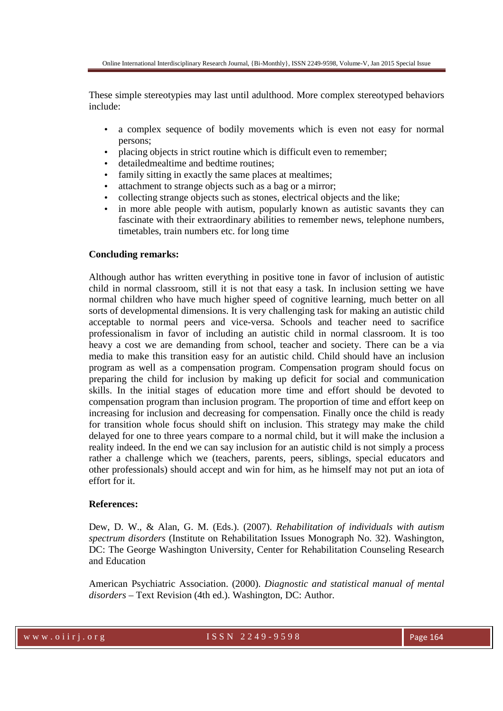These simple stereotypies may last until adulthood. More complex stereotyped behaviors include:

- a complex sequence of bodily movements which is even not easy for normal persons;
- placing objects in strict routine which is difficult even to remember;
- detailed mealtime and bedtime routines;
- family sitting in exactly the same places at mealtimes;
- attachment to strange objects such as a bag or a mirror;
- collecting strange objects such as stones, electrical objects and the like;
- in more able people with autism, popularly known as autistic savants they can fascinate with their extraordinary abilities to remember news, telephone numbers, timetables, train numbers etc. for long time

### **Concluding remarks:**

Although author has written everything in positive tone in favor of inclusion of autistic child in normal classroom, still it is not that easy a task. In inclusion setting we have normal children who have much higher speed of cognitive learning, much better on all sorts of developmental dimensions. It is very challenging task for making an autistic child acceptable to normal peers and vice-versa. Schools and teacher need to sacrifice professionalism in favor of including an autistic child in normal classroom. It is too heavy a cost we are demanding from school, teacher and society. There can be a via media to make this transition easy for an autistic child. Child should have an inclusion program as well as a compensation program. Compensation program should focus on preparing the child for inclusion by making up deficit for social and communication skills. In the initial stages of education more time and effort should be devoted to compensation program than inclusion program. The proportion of time and effort keep on increasing for inclusion and decreasing for compensation. Finally once the child is ready for transition whole focus should shift on inclusion. This strategy may make the child delayed for one to three years compare to a normal child, but it will make the inclusion a reality indeed. In the end we can say inclusion for an autistic child is not simply a process rather a challenge which we (teachers, parents, peers, siblings, special educators and other professionals) should accept and win for him, as he himself may not put an iota of effort for it.

# **References:**

Dew, D. W., & Alan, G. M. (Eds.). (2007). *Rehabilitation of individuals with autism spectrum disorders* (Institute on Rehabilitation Issues Monograph No. 32). Washington, DC: The George Washington University, Center for Rehabilitation Counseling Research and Education

American Psychiatric Association. (2000). *Diagnostic and statistical manual of mental disorders* – Text Revision (4th ed.). Washington, DC: Author.

w w w . o i i r j . o r g  $1 S S N 2 2 49 - 9598$  Page 164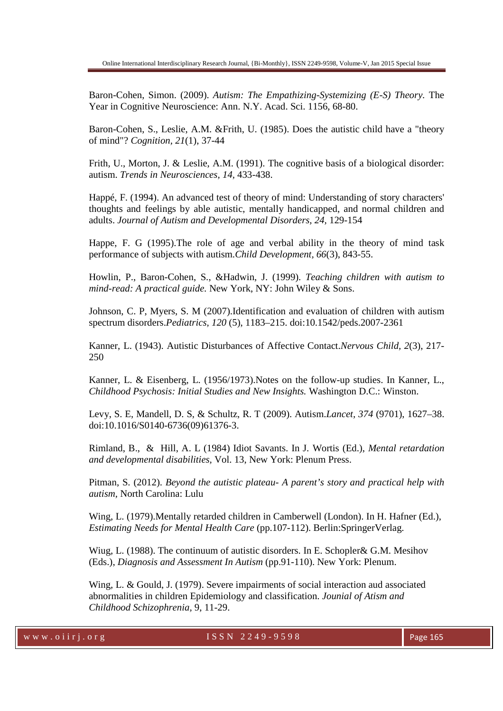Baron-Cohen, Simon. (2009). *Autism: The Empathizing-Systemizing (E-S) Theory.* The Year in Cognitive Neuroscience: Ann. N.Y. Acad. Sci. 1156, 68-80.

Baron-Cohen, S., Leslie, A.M. &Frith, U. (1985). Does the autistic child have a "theory of mind"? *Cognition, 21*(1), 37-44

Frith, U., Morton, J. & Leslie, A.M. (1991). The cognitive basis of a biological disorder: autism. *Trends in Neurosciences, 14,* 433-438.

Happé, F. (1994). An advanced test of theory of mind: Understanding of story characters' thoughts and feelings by able autistic, mentally handicapped, and normal children and adults. *Journal of Autism and Developmental Disorders, 24,* 129-154

Happe, F. G (1995).The role of age and verbal ability in the theory of mind task performance of subjects with autism.*Child Development, 66*(3), 843-55.

Howlin, P., Baron-Cohen, S., &Hadwin, J. (1999). *Teaching children with autism to mind-read: A practical guide.* New York, NY: John Wiley & Sons.

Johnson, C. P, Myers, S. M (2007).Identification and evaluation of children with autism spectrum disorders.*Pediatrics, 120* (5), 1183–215. doi:10.1542/peds.2007-2361

Kanner, L. (1943). Autistic Disturbances of Affective Contact.*Nervous Child, 2*(3), 217- 250

Kanner, L. & Eisenberg, L. (1956/1973).Notes on the follow-up studies. In Kanner, L., *Childhood Psychosis: Initial Studies and New Insights.* Washington D.C.: Winston.

Levy, S. E, Mandell, D. S, & Schultz, R. T (2009). Autism.*Lancet, 374* (9701), 1627–38. doi:10.1016/S0140-6736(09)61376-3.

Rimland, B., & Hill, A. L (1984) Idiot Savants. In J. Wortis (Ed.), *Mental retardation and developmental disabilities,* Vol. 13, New York: Plenum Press.

Pitman, S. (2012). *Beyond the autistic plateau- A parent's story and practical help with autism,* North Carolina: Lulu

Wing, L. (1979).Mentally retarded children in Camberwell (London). In H. Hafner (Ed.), *Estimating Needs for Mental Health Care* (pp.107-112). Berlin:SpringerVerlag.

Wiug, L. (1988). The continuum of autistic disorders. In E. Schopler& G.M. Mesihov (Eds.), *Diagnosis and Assessment In Autism* (pp.91-110). New York: Plenum.

Wing, L. & Gould, J. (1979). Severe impairments of social interaction aud associated abnormalities in children Epidemiology and classification. *Jounial of Atism and Childhood Schizophrenia,* 9, 11-29.